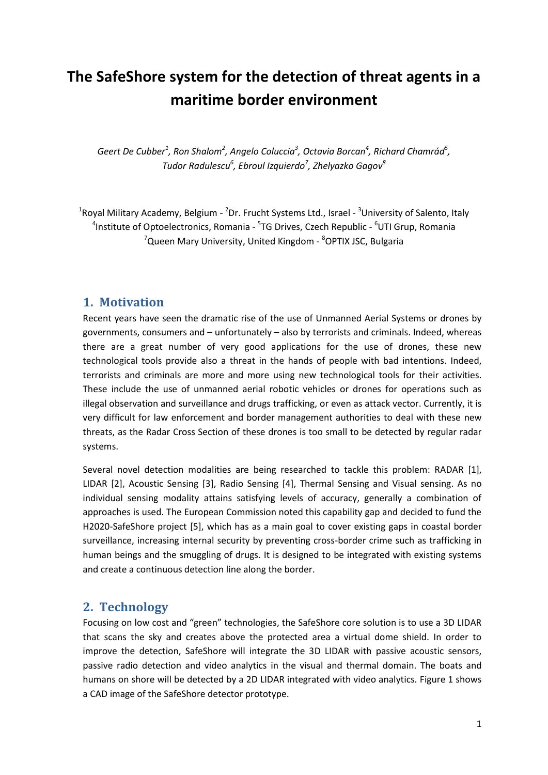# **The SafeShore system for the detection of threat agents in a maritime border environment**

 $\sigma$ *Geert De Cubber<sup>1</sup>, Ron Shalom<sup>2</sup>, Angelo Coluccia<sup>3</sup>, Octavia Borcan<sup>4</sup>, Richard Chamrád<sup>5</sup>, Tudor Radulescu<sup>6</sup> , Ebroul Izquierdo<sup>7</sup> , Zhelyazko Gagov<sup>8</sup>*

<sup>1</sup>Royal Military Academy, Belgium - <sup>2</sup>Dr. Frucht Systems Ltd., Israel - <sup>3</sup>University of Salento, Italy <sup>4</sup>Institute of Optoelectronics, Romania - <sup>5</sup>TG Drives, Czech Republic - <sup>6</sup>UTI Grup, Romania <sup>7</sup>Queen Mary University, United Kingdom - <sup>8</sup>OPTIX JSC, Bulgaria

#### **1. Motivation**

Recent years have seen the dramatic rise of the use of Unmanned Aerial Systems or drones by governments, consumers and – unfortunately – also by terrorists and criminals. Indeed, whereas there are a great number of very good applications for the use of drones, these new technological tools provide also a threat in the hands of people with bad intentions. Indeed, terrorists and criminals are more and more using new technological tools for their activities. These include the use of unmanned aerial robotic vehicles or drones for operations such as illegal observation and surveillance and drugs trafficking, or even as attack vector. Currently, it is very difficult for law enforcement and border management authorities to deal with these new threats, as the Radar Cross Section of these drones is too small to be detected by regular radar systems.

Several novel detection modalities are being researched to tackle this problem: RADAR [1], LIDAR [2], Acoustic Sensing [3], Radio Sensing [4], Thermal Sensing and Visual sensing. As no individual sensing modality attains satisfying levels of accuracy, generally a combination of approaches is used. The European Commission noted this capability gap and decided to fund the H2020-SafeShore project [5], which has as a main goal to cover existing gaps in coastal border surveillance, increasing internal security by preventing cross-border crime such as trafficking in human beings and the smuggling of drugs. It is designed to be integrated with existing systems and create a continuous detection line along the border.

#### **2. Technology**

Focusing on low cost and "green" technologies, the SafeShore core solution is to use a 3D LIDAR that scans the sky and creates above the protected area a virtual dome shield. In order to improve the detection, SafeShore will integrate the 3D LIDAR with passive acoustic sensors, passive radio detection and video analytics in the visual and thermal domain. The boats and humans on shore will be detected by a 2D LIDAR integrated with video analytics. Figure 1 shows a CAD image of the SafeShore detector prototype.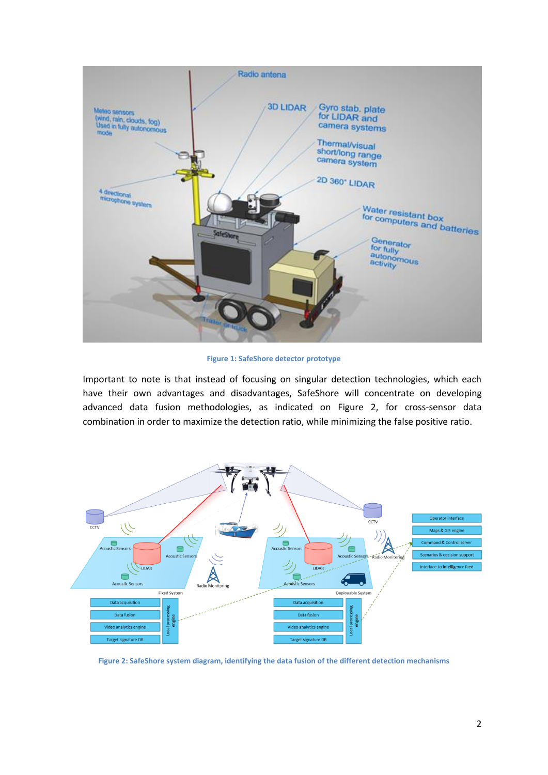

**Figure 1: SafeShore detector prototype**

Important to note is that instead of focusing on singular detection technologies, which each have their own advantages and disadvantages, SafeShore will concentrate on developing advanced data fusion methodologies, as indicated on Figure 2, for cross-sensor data combination in order to maximize the detection ratio, while minimizing the false positive ratio.



**Figure 2: SafeShore system diagram, identifying the data fusion of the different detection mechanisms**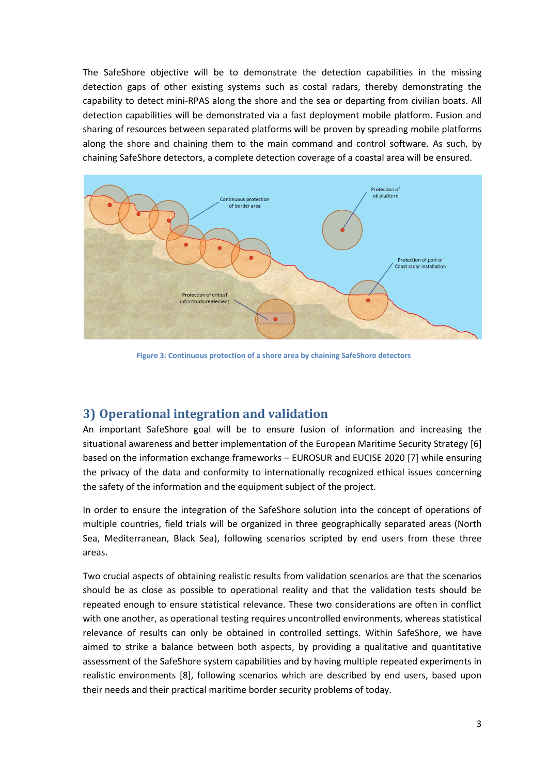The SafeShore objective will be to demonstrate the detection capabilities in the missing detection gaps of other existing systems such as costal radars, thereby demonstrating the capability to detect mini-RPAS along the shore and the sea or departing from civilian boats. All detection capabilities will be demonstrated via a fast deployment mobile platform. Fusion and sharing of resources between separated platforms will be proven by spreading mobile platforms along the shore and chaining them to the main command and control software. As such, by chaining SafeShore detectors, a complete detection coverage of a coastal area will be ensured.



**Figure 3: Continuous protection of a shore area by chaining SafeShore detectors**

## **3) Operational integration and validation**

An important SafeShore goal will be to ensure fusion of information and increasing the situational awareness and better implementation of the European Maritime Security Strategy [6] based on the information exchange frameworks – EUROSUR and EUCISE 2020 [7] while ensuring the privacy of the data and conformity to internationally recognized ethical issues concerning the safety of the information and the equipment subject of the project.

In order to ensure the integration of the SafeShore solution into the concept of operations of multiple countries, field trials will be organized in three geographically separated areas (North Sea, Mediterranean, Black Sea), following scenarios scripted by end users from these three areas.

Two crucial aspects of obtaining realistic results from validation scenarios are that the scenarios should be as close as possible to operational reality and that the validation tests should be repeated enough to ensure statistical relevance. These two considerations are often in conflict with one another, as operational testing requires uncontrolled environments, whereas statistical relevance of results can only be obtained in controlled settings. Within SafeShore, we have aimed to strike a balance between both aspects, by providing a qualitative and quantitative assessment of the SafeShore system capabilities and by having multiple repeated experiments in realistic environments [8], following scenarios which are described by end users, based upon their needs and their practical maritime border security problems of today.